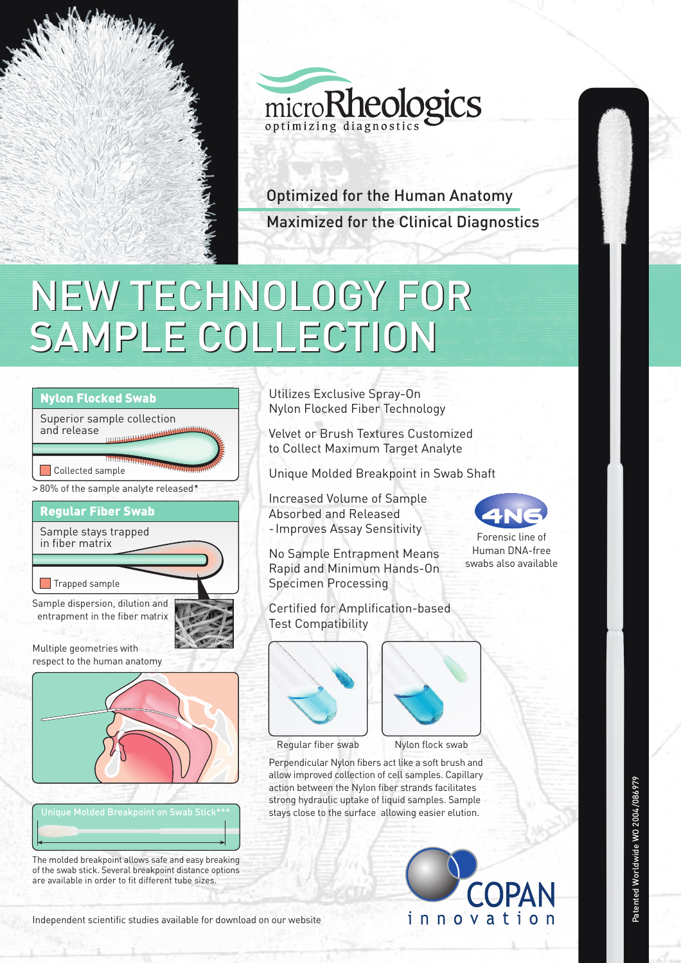



Optimized for the Human Anatomy Maximized for the Clinical Diagnostics

## NEW TECHNOLOGY FOR NEW TECHNOLOGY FOR SAMPLE COLLECTION SAMPLE COLLECTION



The molded breakpoint allows safe and easy breaking of the swab stick. Several breakpoint distance options are available in order to fit different tube sizes.

Utilizes Exclusive Spray-On Nylon Flocked Fiber Technology

Velvet or Brush Textures Customized to Collect Maximum Target Analyte

Unique Molded Breakpoint in Swab Shaft

Increased Volume of Sample Absorbed and Released - Improves Assay Sensitivity

No Sample Entrapment Means Rapid and Minimum Hands-On Specimen Processing

Certified for Amplification-based Test Compatibility





Regular fiber swab Nylon flock swab

Perpendicular Nylon fibers act like a soft brush and allow improved collection of cell samples. Capillary action between the Nylon fiber strands facilitates strong hydraulic uptake of liquid samples. Sample stays close to the surface allowing easier elution.





Forensic line of Human DNA-free swabs also available

Independent scientific studies available for download on our website